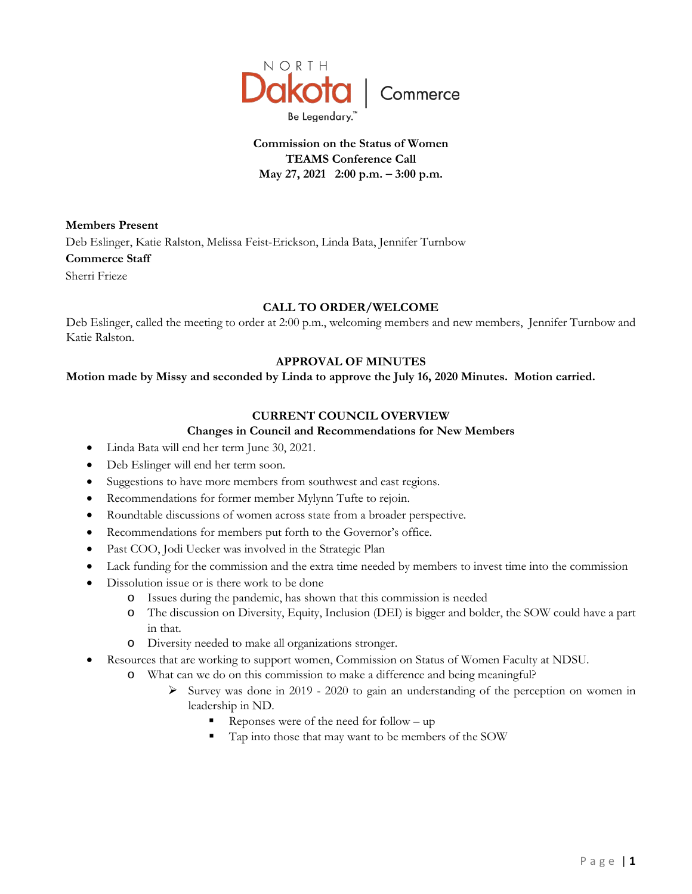

# **Commission on the Status of Women TEAMS Conference Call May 27, 2021 2:00 p.m. – 3:00 p.m.**

**Members Present**

Deb Eslinger, Katie Ralston, Melissa Feist-Erickson, Linda Bata, Jennifer Turnbow **Commerce Staff**

Sherri Frieze

# **CALL TO ORDER/WELCOME**

Deb Eslinger, called the meeting to order at 2:00 p.m., welcoming members and new members, Jennifer Turnbow and Katie Ralston.

# **APPROVAL OF MINUTES**

#### **Motion made by Missy and seconded by Linda to approve the July 16, 2020 Minutes. Motion carried.**

# **CURRENT COUNCIL OVERVIEW**

# **Changes in Council and Recommendations for New Members**

- Linda Bata will end her term June 30, 2021.
- Deb Eslinger will end her term soon.
- Suggestions to have more members from southwest and east regions.
- Recommendations for former member Mylynn Tufte to rejoin.
- Roundtable discussions of women across state from a broader perspective.
- Recommendations for members put forth to the Governor's office.
- Past COO, Jodi Uecker was involved in the Strategic Plan
- Lack funding for the commission and the extra time needed by members to invest time into the commission
- Dissolution issue or is there work to be done
	- o Issues during the pandemic, has shown that this commission is needed
	- o The discussion on Diversity, Equity, Inclusion (DEI) is bigger and bolder, the SOW could have a part in that.
	- o Diversity needed to make all organizations stronger.
- Resources that are working to support women, Commission on Status of Women Faculty at NDSU.
	- o What can we do on this commission to make a difference and being meaningful?
		- $\triangleright$  Survey was done in 2019 2020 to gain an understanding of the perception on women in leadership in ND.
			- Reponses were of the need for follow up
			- Tap into those that may want to be members of the SOW